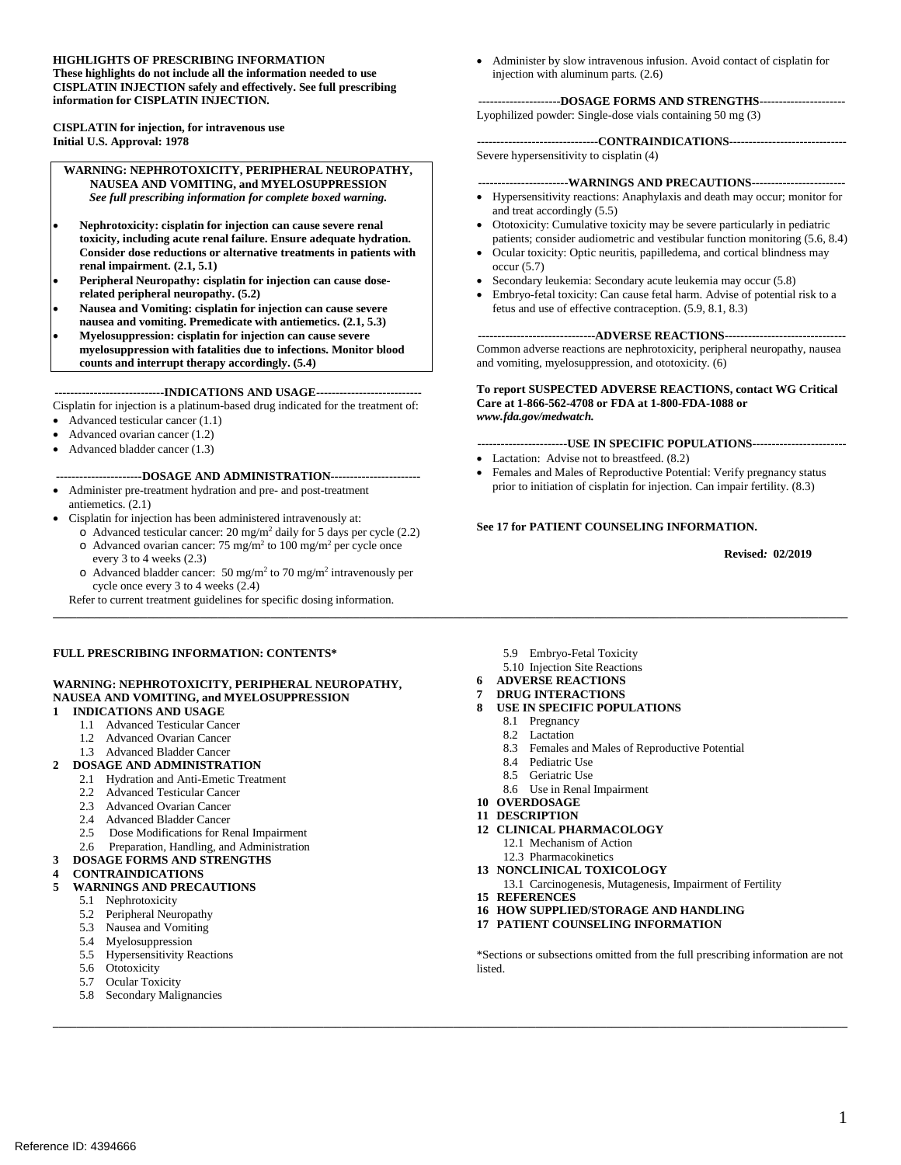#### **CISPLATIN INJECTION safely and effectively. See full prescribing HIGHLIGHTS OF PRESCRIBING INFORMATION These highlights do not include all the information needed to use information for CISPLATIN INJECTION.**

**CISPLATIN for injection, for intravenous use Initial U.S. Approval: 1978** 

**WARNING: NEPHROTOXICITY, PERIPHERAL NEUROPATHY, NAUSEA AND VOMITING, and MYELOSUPPRESSION**  *See full prescribing information for complete boxed warning.* 

- **toxicity, including acute renal failure. Ensure adequate hydration.**  Nephrotoxicity: cisplatin for injection can cause severe renal **Consider dose reductions or alternative treatments in patients with renal impairment. (2.1, 5.1)**
- **related peripheral neuropathy. (5.2)**  Peripheral Neuropathy: cisplatin for injection can cause dose-
- Nausea and Vomiting: cisplatin for injection can cause severe **nausea and vomiting. Premedicate with antiemetics. (2.1, 5.3)**
- **counts and interrupt therapy accordingly. (5.4) Myelosuppression: cisplatin for injection can cause severe myelosuppression with fatalities due to infections. Monitor blood**

#### **----------------------------INDICATIONS AND USAGE---------------------------**

Cisplatin for injection is a platinum-based drug indicated for the treatment of:

- Advanced testicular cancer  $(1.1)$
- Advanced ovarian cancer  $(1.2)$
- Advanced bladder cancer (1.3)

#### **----------------------DOSAGE AND ADMINISTRATION----------------------**

- antiemetics. (2.1) • Administer pre-treatment hydration and pre- and post-treatment
- Cisplatin for injection has been administered intravenously at:
	- $\circ$  Advanced testicular cancer: 20 mg/m<sup>2</sup> daily for 5 days per cycle (2.2)
	- $\circ$  Advanced ovarian cancer: 75 mg/m<sup>2</sup> to 100 mg/m<sup>2</sup> per cycle once every 3 to 4 weeks (2.3)
	- $\circ$  Advanced bladder cancer: 50 mg/m<sup>2</sup> to 70 mg/m<sup>2</sup> intravenously per cycle once every 3 to 4 weeks (2.4)

Refer to current treatment guidelines for specific dosing information.

#### **FULL PRESCRIBING INFORMATION: CONTENTS\***

#### **WARNING: NEPHROTOXICITY, PERIPHERAL NEUROPATHY, NAUSEA AND VOMITING, and MYELOSUPPRESSION**

#### **1 INDICATIONS AND USAGE**

- 1.1 Advanced Testicular Cancer
- 1.2 Advanced Ovarian Cancer
- 1.3 Advanced Bladder Cancer

#### **2 DOSAGE AND ADMINISTRATION**

- 2.1 Hydration and Anti-Emetic Treatment
- 2.2 Advanced Testicular Cancer
- 2.3 Advanced Ovarian Cancer
- 2.4 Advanced Bladder Cancer
- 2.5 Dose Modifications for Renal Impairment
- 2.6 Preparation, Handling, and Administration
- **3 DOSAGE FORMS AND STRENGTHS**
- **4 CONTRAINDICATIONS**

#### **5 WARNINGS AND PRECAUTIONS**

- 5.1 Nephrotoxicity
- 5.2 Peripheral Neuropathy
- 
- 5.3 Nausea and Vomiting 5.4 Myelosuppression
- 5.4 Myelosuppression<br>5.5 Hypersensitivity Reactions
- 5.6 Ototoxicity
- 5.7 Ocular Toxicity
- 5.8 Secondary Malignancies
- 5.9 Embryo-Fetal Toxicity
- 5.10 Injection Site Reactions
- **6 ADVERSE REACTIONS**

# **7 DRUG INTERACTIONS**

- **8 USE IN SPECIFIC POPULATIONS** 
	- 8.1 Pregnancy

**\_\_\_\_\_\_\_\_\_\_\_\_\_\_\_\_\_\_\_\_\_\_\_\_\_\_\_\_\_\_\_\_\_\_\_\_\_\_\_\_\_\_\_\_\_\_\_\_\_\_\_\_\_\_\_\_\_\_\_\_\_\_\_\_\_\_\_\_\_\_\_\_\_\_\_\_\_\_\_\_\_\_\_\_\_\_\_\_\_\_\_\_\_\_\_\_\_\_\_\_\_\_\_\_\_\_\_\_\_\_\_\_\_\_\_\_\_\_\_\_\_\_\_\_\_\_\_\_\_\_\_\_\_\_\_** 

**\_\_\_\_\_\_\_\_\_\_\_\_\_\_\_\_\_\_\_\_\_\_\_\_\_\_\_\_\_\_\_\_\_\_\_\_\_\_\_\_\_\_\_\_\_\_\_\_\_\_\_\_\_\_\_\_\_\_\_\_\_\_\_\_\_\_\_\_\_\_\_\_\_\_\_\_\_\_\_\_\_\_\_\_\_\_\_\_\_\_\_\_\_\_\_\_\_\_\_\_\_\_\_\_\_\_\_\_\_\_\_\_\_\_\_\_\_\_\_\_\_\_\_\_\_\_\_\_\_\_\_\_\_\_\_** 

- 8.2 Lactation
- 8.3 Females and Males of Reproductive Potential
- 8.4 Pediatric Use
- 8.5 Geriatric Use
- 8.6 Use in Renal Impairment
- **10 OVERDOSAGE**
- **11 DESCRIPTION**
- **12 CLINICAL PHARMACOLOGY** 
	- 12.1 Mechanism of Action
	- 12.3 Pharmacokinetics
- **13 NONCLINICAL TOXICOLOGY**
- 13.1 Carcinogenesis, Mutagenesis, Impairment of Fertility
- **15 REFERENCES**
- **16 HOW SUPPLIED/STORAGE AND HANDLING**
- **17 PATIENT COUNSELING INFORMATION**

 \*Sections or subsections omitted from the full prescribing information are not listed.

 injection with aluminum parts. (2.6) • Administer by slow intravenous infusion. Avoid contact of cisplatin for

#### **---------------------DOSAGE FORMS AND STRENGTHS----------------------**

Lyophilized powder: Single-dose vials containing 50 mg (3)

**-------------------------------CONTRAINDICATIONS-----------------------------** Severe hypersensitivity to cisplatin (4)

#### **-----------------------WARNINGS AND PRECAUTIONS-----------------------**

- Hypersensitivity reactions: Anaphylaxis and death may occur; monitor for and treat accordingly (5.5)
- • Ototoxicity: Cumulative toxicity may be severe particularly in pediatric patients; consider audiometric and vestibular function monitoring (5.6, 8.4)
- • Ocular toxicity: Optic neuritis, papilledema, and cortical blindness may occur (5.7)
- Secondary leukemia: Secondary acute leukemia may occur (5.8)
- fetus and use of effective contraception. (5.9, 8.1, 8.3) Embryo-fetal toxicity: Can cause fetal harm. Advise of potential risk to a

**------------------------------ADVERSE REACTIONS------------------------------**

 and vomiting, myelosuppression, and ototoxicity. (6) Common adverse reactions are nephrotoxicity, peripheral neuropathy, nausea

#### **To report SUSPECTED ADVERSE REACTIONS, contact WG Critical Care at 1-866-562-4708 or FDA at 1-800-FDA-1088 or**  *www.fda.gov/medwatch.*

**-----------------------USE IN SPECIFIC POPULATIONS-----------------------**

- Lactation: Advise not to breastfeed.  $(8.2)$
- Females and Males of Reproductive Potential: Verify pregnancy status prior to initiation of cisplatin for injection. Can impair fertility. (8.3)

#### **See 17 for PATIENT COUNSELING INFORMATION.**

**Revised***:* **02/2019**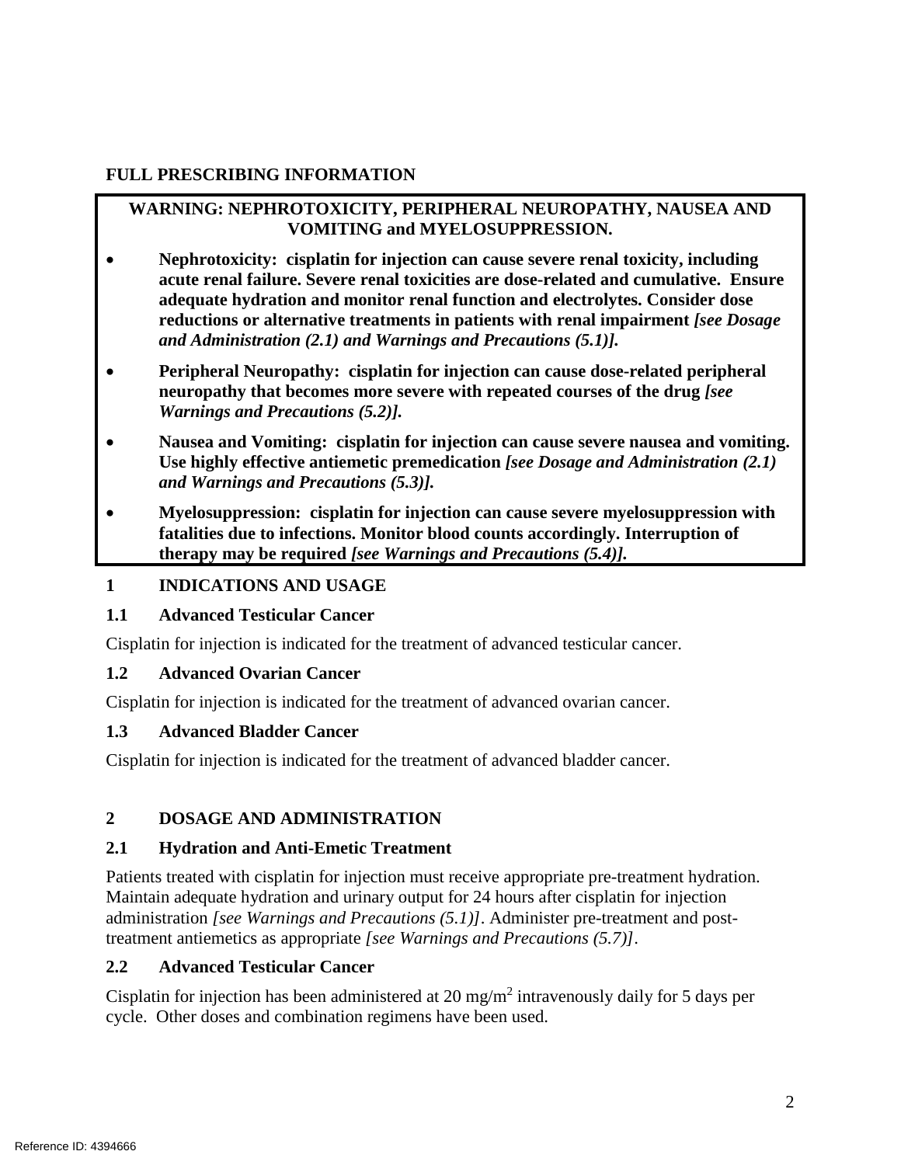## **FULL PRESCRIBING INFORMATION**

## **WARNING: NEPHROTOXICITY, PERIPHERAL NEUROPATHY, NAUSEA AND VOMITING and MYELOSUPPRESSION.**

- **acute renal failure. Severe renal toxicities are dose-related and cumulative. Ensure**   **reductions or alternative treatments in patients with renal impairment** *[see Dosage*  • **Nephrotoxicity: cisplatin for injection can cause severe renal toxicity, including adequate hydration and monitor renal function and electrolytes. Consider dose**  *and Administration (2.1) and Warnings and Precautions (5.1)].*
- **• Peripheral Neuropathy: cisplatin for injection can cause dose-related peripheral neuropathy that becomes more severe with repeated courses of the drug** *[see Warnings and Precautions (5.2)].*
- Nausea and Vomiting: cisplatin for injection can cause severe nausea and vomiting. **Use highly effective antiemetic premedication** *[see Dosage and Administration (2.1) and Warnings and Precautions (5.3)].*
- • **Myelosuppression: cisplatin for injection can cause severe myelosuppression with fatalities due to infections. Monitor blood counts accordingly. Interruption of therapy may be required** *[see Warnings and Precautions (5.4)].*

#### **1 INDICATIONS AND USAGE**

## **1.1 Advanced Testicular Cancer**

Cisplatin for injection is indicated for the treatment of advanced testicular cancer.

#### **1.2 Advanced Ovarian Cancer**

Cisplatin for injection is indicated for the treatment of advanced ovarian cancer.

#### **1.3 Advanced Bladder Cancer**

Cisplatin for injection is indicated for the treatment of advanced bladder cancer.

## **2 DOSAGE AND ADMINISTRATION**

#### **2.1 Hydration and Anti-Emetic Treatment**

 Patients treated with cisplatin for injection must receive appropriate pre-treatment hydration. Maintain adequate hydration and urinary output for 24 hours after cisplatin for injection administration *[see Warnings and Precautions (5.1)]*. Administer pre-treatment and posttreatment antiemetics as appropriate *[see Warnings and Precautions (5.7)]*.

## **2.2 Advanced Testicular Cancer**

Cisplatin for injection has been administered at 20 mg/m<sup>2</sup> intravenously daily for 5 days per cycle. Other doses and combination regimens have been used.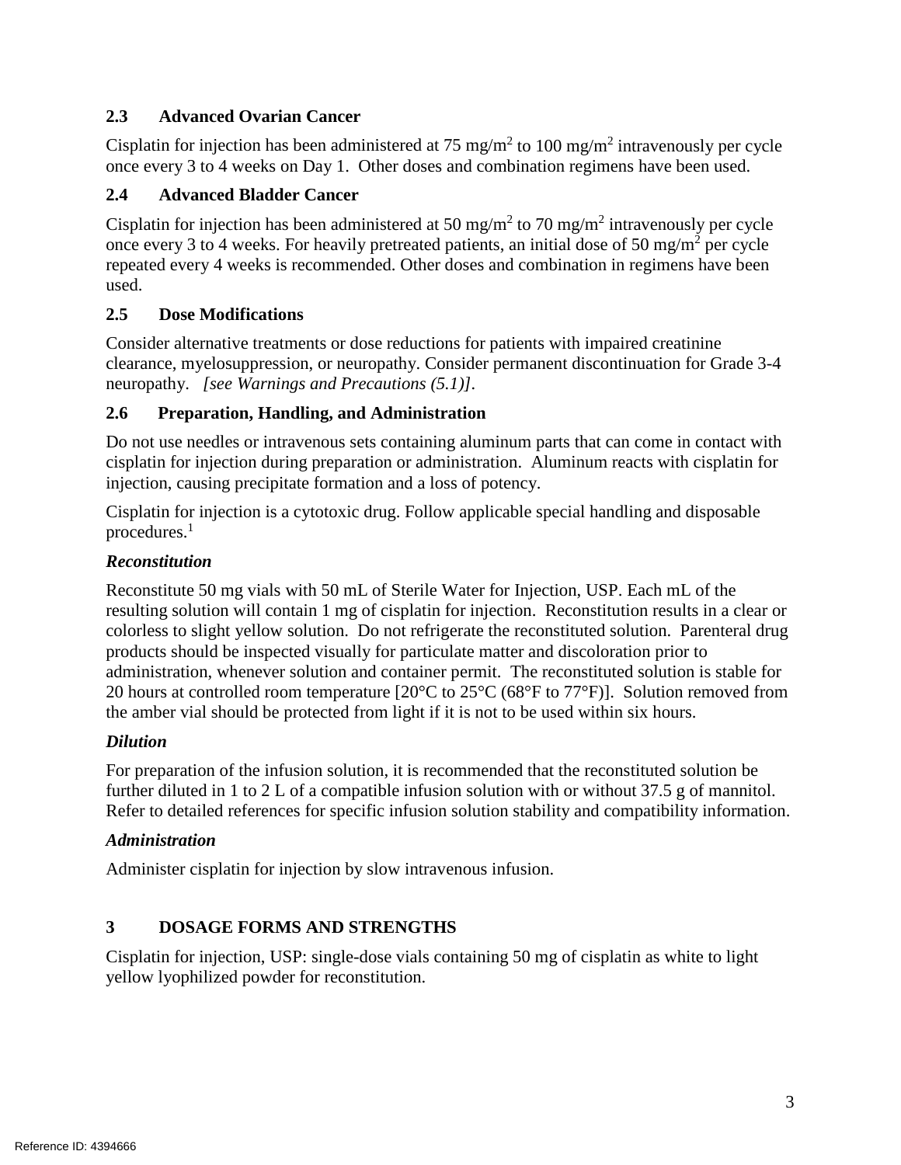## **2.3 Advanced Ovarian Cancer**

Cisplatin for injection has been administered at 75 mg/m<sup>2</sup> to 100 mg/m<sup>2</sup> intravenously per cycle once every 3 to 4 weeks on Day 1. Other doses and combination regimens have been used.

## **2.4 Advanced Bladder Cancer**

Cisplatin for injection has been administered at 50 mg/m<sup>2</sup> to 70 mg/m<sup>2</sup> intravenously per cycle once every 3 to 4 weeks. For heavily pretreated patients, an initial dose of 50 mg/m<sup>2</sup> per cycle used. repeated every 4 weeks is recommended. Other doses and combination in regimens have been

## **2.5 Dose Modifications**

 Consider alternative treatments or dose reductions for patients with impaired creatinine clearance, myelosuppression, or neuropathy. Consider permanent discontinuation for Grade 3-4 neuropathy. *[see Warnings and Precautions (5.1)].* 

## **2.6 Preparation, Handling, and Administration**

injection, causing precipitate formation and a loss of potency. Do not use needles or intravenous sets containing aluminum parts that can come in contact with cisplatin for injection during preparation or administration. Aluminum reacts with cisplatin for

procedures.<sup>1</sup> Cisplatin for injection is a cytotoxic drug. Follow applicable special handling and disposable

## *Reconstitution*

 resulting solution will contain 1 mg of cisplatin for injection. Reconstitution results in a clear or colorless to slight yellow solution. Do not refrigerate the reconstituted solution. Parenteral drug administration, whenever solution and container permit. The reconstituted solution is stable for 20 hours at controlled room temperature  $[20^{\circ}C$  to  $25^{\circ}C$  (68 $^{\circ}F$  to 77 $^{\circ}F$ )]. Solution removed from Reconstitute 50 mg vials with 50 mL of Sterile Water for Injection, USP. Each mL of the products should be inspected visually for particulate matter and discoloration prior to the amber vial should be protected from light if it is not to be used within six hours.

## *Dilution*

 further diluted in 1 to 2 L of a compatible infusion solution with or without 37.5 g of mannitol. Refer to detailed references for specific infusion solution stability and compatibility information. For preparation of the infusion solution, it is recommended that the reconstituted solution be

## *Administration*

Administer cisplatin for injection by slow intravenous infusion.

# **3 DOSAGE FORMS AND STRENGTHS**

Cisplatin for injection, USP: single-dose vials containing 50 mg of cisplatin as white to light yellow lyophilized powder for reconstitution.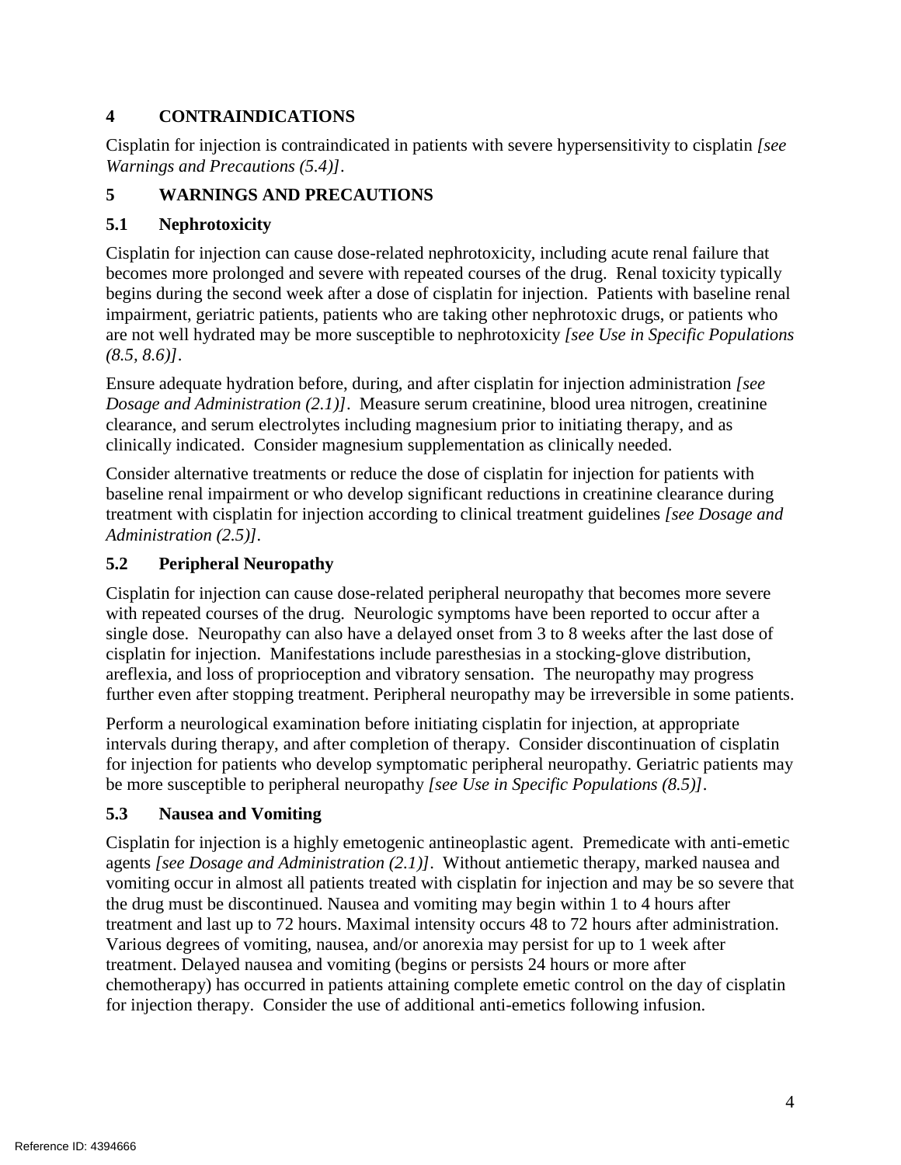# **4 CONTRAINDICATIONS**

 Cisplatin for injection is contraindicated in patients with severe hypersensitivity to cisplatin *[see Warnings and Precautions (5.4)]*.

# **5 WARNINGS AND PRECAUTIONS**

## **5.1 Nephrotoxicity**

 becomes more prolonged and severe with repeated courses of the drug. Renal toxicity typically begins during the second week after a dose of cisplatin for injection. Patients with baseline renal impairment, geriatric patients, patients who are taking other nephrotoxic drugs, or patients who  $(8.5, 8.6)$ . Cisplatin for injection can cause dose-related nephrotoxicity, including acute renal failure that are not well hydrated may be more susceptible to nephrotoxicity *[see Use in Specific Populations* 

 *Dosage and Administration (2.1)]*. Measure serum creatinine, blood urea nitrogen, creatinine clinically indicated. Consider magnesium supplementation as clinically needed. *(8.5, 8.6)]*. Ensure adequate hydration before, during, and after cisplatin for injection administration *[see*  clearance, and serum electrolytes including magnesium prior to initiating therapy, and as

 Consider alternative treatments or reduce the dose of cisplatin for injection for patients with treatment with cisplatin for injection according to clinical treatment guidelines *[see Dosage and Administration (2.5)].*  baseline renal impairment or who develop significant reductions in creatinine clearance during

## **5.2 Peripheral Neuropathy**

 with repeated courses of the drug. Neurologic symptoms have been reported to occur after a cisplatin for injection. Manifestations include paresthesias in a stocking-glove distribution, areflexia, and loss of proprioception and vibratory sensation. The neuropathy may progress Cisplatin for injection can cause dose-related peripheral neuropathy that becomes more severe single dose. Neuropathy can also have a delayed onset from 3 to 8 weeks after the last dose of further even after stopping treatment. Peripheral neuropathy may be irreversible in some patients.

 intervals during therapy, and after completion of therapy. Consider discontinuation of cisplatin Perform a neurological examination before initiating cisplatin for injection, at appropriate for injection for patients who develop symptomatic peripheral neuropathy. Geriatric patients may be more susceptible to peripheral neuropathy *[see Use in Specific Populations (8.5)]*.

## **5.3 Nausea and Vomiting**

 agents *[see Dosage and Administration (2.1)]*. Without antiemetic therapy, marked nausea and vomiting occur in almost all patients treated with cisplatin for injection and may be so severe that for injection therapy. Consider the use of additional anti-emetics following infusion. Cisplatin for injection is a highly emetogenic antineoplastic agent. Premedicate with anti-emetic the drug must be discontinued. Nausea and vomiting may begin within 1 to 4 hours after treatment and last up to 72 hours. Maximal intensity occurs 48 to 72 hours after administration. Various degrees of vomiting, nausea, and/or anorexia may persist for up to 1 week after treatment. Delayed nausea and vomiting (begins or persists 24 hours or more after chemotherapy) has occurred in patients attaining complete emetic control on the day of cisplatin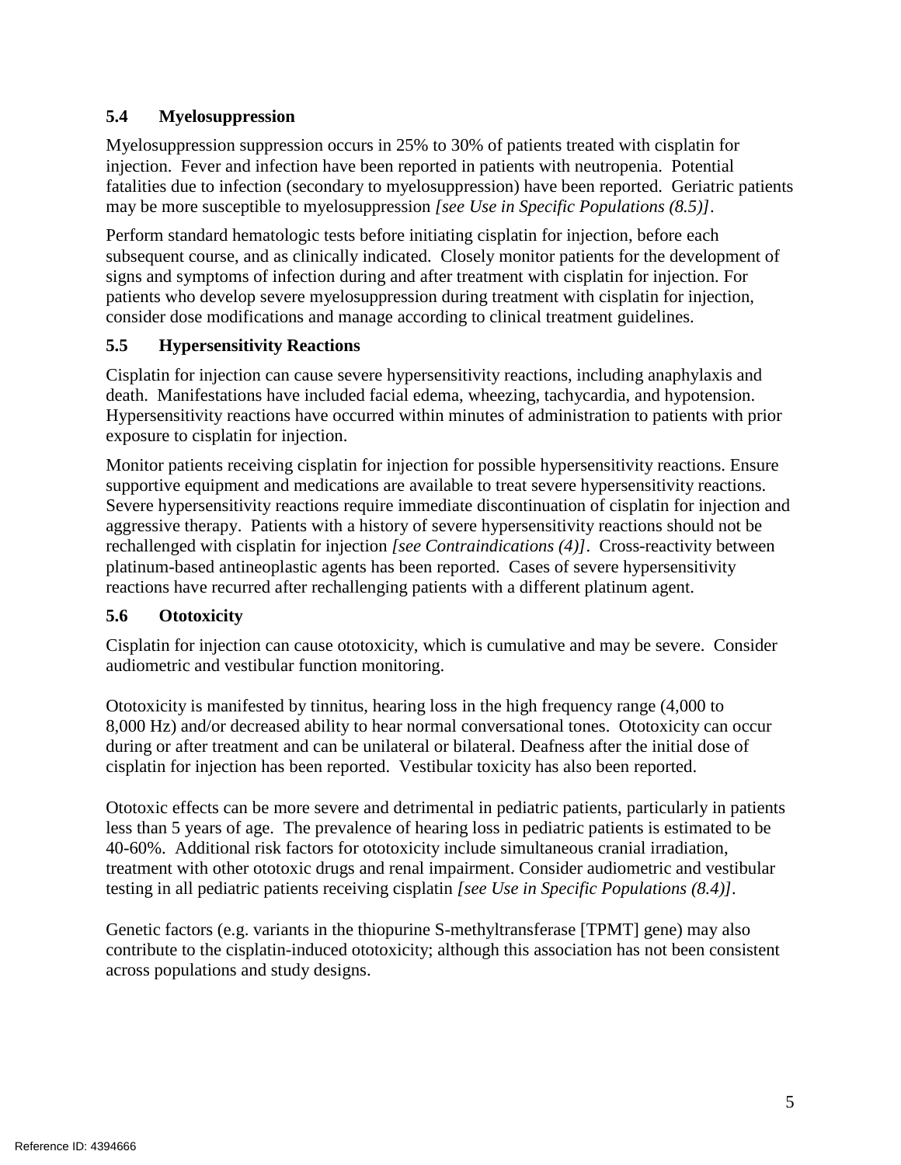## **5.4 Myelosuppression**

 injection. Fever and infection have been reported in patients with neutropenia. Potential Myelosuppression suppression occurs in 25% to 30% of patients treated with cisplatin for fatalities due to infection (secondary to myelosuppression) have been reported. Geriatric patients may be more susceptible to myelosuppression *[see Use in Specific Populations (8.5)]*.

 subsequent course, and as clinically indicated. Closely monitor patients for the development of Perform standard hematologic tests before initiating cisplatin for injection, before each signs and symptoms of infection during and after treatment with cisplatin for injection. For patients who develop severe myelosuppression during treatment with cisplatin for injection, consider dose modifications and manage according to clinical treatment guidelines.

## **5.5 Hypersensitivity Reactions**

 Cisplatin for injection can cause severe hypersensitivity reactions, including anaphylaxis and death. Manifestations have included facial edema, wheezing, tachycardia, and hypotension. exposure to cisplatin for injection. Hypersensitivity reactions have occurred within minutes of administration to patients with prior

exposure to cisplatin for injection.<br>Monitor patients receiving cisplatin for injection for possible hypersensitivity reactions. Ensure supportive equipment and medications are available to treat severe hypersensitivity reactions. rechallenged with cisplatin for injection *[see Contraindications (4)]*. Cross-reactivity between Severe hypersensitivity reactions require immediate discontinuation of cisplatin for injection and aggressive therapy. Patients with a history of severe hypersensitivity reactions should not be platinum-based antineoplastic agents has been reported. Cases of severe hypersensitivity reactions have recurred after rechallenging patients with a different platinum agent.

# **5.6 Ototoxicity**

 Cisplatin for injection can cause ototoxicity, which is cumulative and may be severe. Consider audiometric and vestibular function monitoring.

 Ototoxicity is manifested by tinnitus, hearing loss in the high frequency range (4,000 to 8,000 Hz) and/or decreased ability to hear normal conversational tones. Ototoxicity can occur during or after treatment and can be unilateral or bilateral. Deafness after the initial dose of cisplatin for injection has been reported. Vestibular toxicity has also been reported.

 less than 5 years of age. The prevalence of hearing loss in pediatric patients is estimated to be Ototoxic effects can be more severe and detrimental in pediatric patients, particularly in patients 40-60%. Additional risk factors for ototoxicity include simultaneous cranial irradiation, treatment with other ototoxic drugs and renal impairment. Consider audiometric and vestibular testing in all pediatric patients receiving cisplatin *[see Use in Specific Populations (8.4)].* 

 Genetic factors (e.g. variants in the thiopurine S-methyltransferase [TPMT] gene) may also contribute to the cisplatin-induced ototoxicity; although this association has not been consistent across populations and study designs.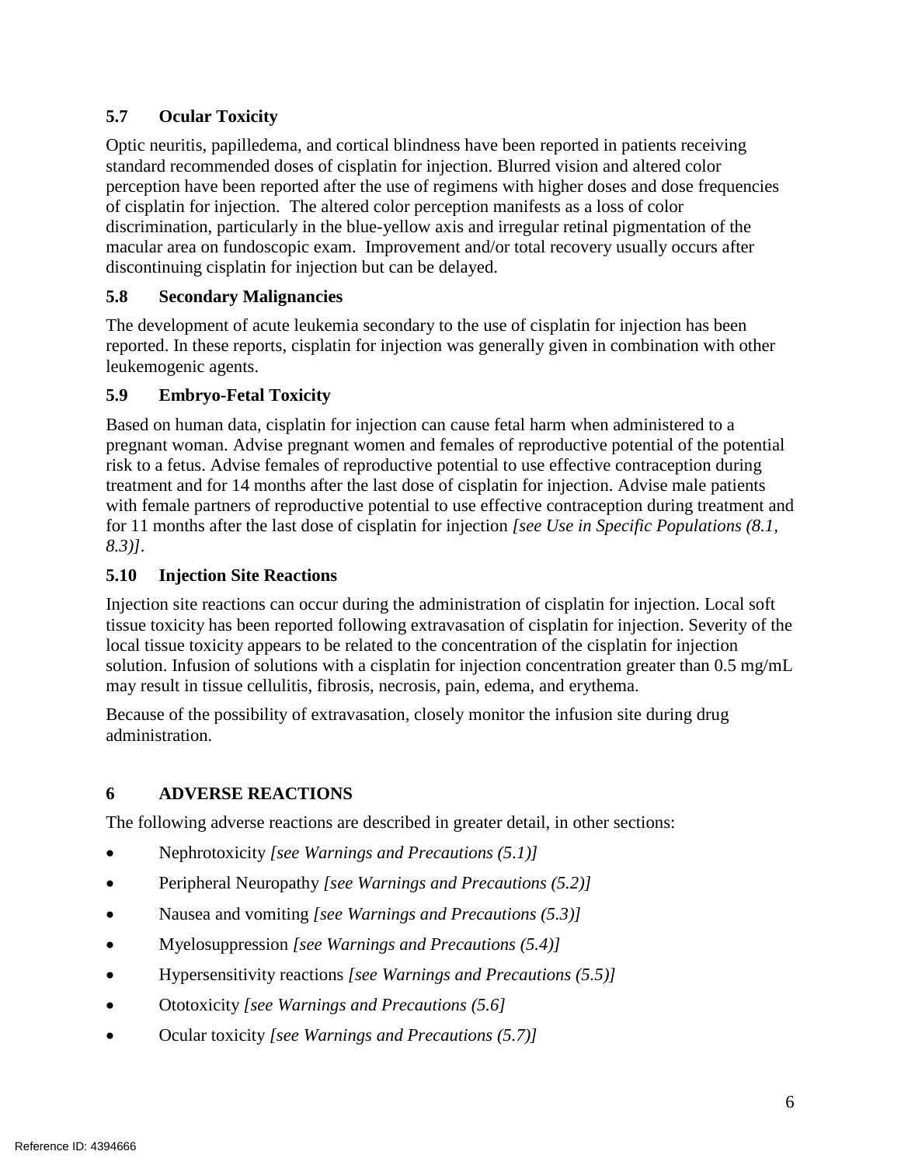## **5.7 Ocular Toxicity**

Optic neuritis, papilledema, and cortical blindness have been reported in patients receiving standard recommended doses of cisplatin for injection. Blurred vision and altered color perception have been reported after the use of regimens with higher doses and dose frequencies of cisplatin for injection. The altered color perception manifests as a loss of color discrimination, particularly in the blue-yellow axis and irregular retinal pigmentation of the macular area on fundoscopic exam. Improvement and/or total recovery usually occurs after discontinuing cisplatin for injection but can be delayed.

## **5.8 Secondary Malignancies**

The development of acute leukemia secondary to the use of cisplatin for injection has been reported. In these reports, cisplatin for injection was generally given in combination with other leukemogenic agents.

## **5.9 Embryo-Fetal Toxicity**

Based on human data, cisplatin for injection can cause fetal harm when administered to a pregnant woman. Advise pregnant women and females of reproductive potential of the potential risk to a fetus. Advise females of reproductive potential to use effective contraception during treatment and for 14 months after the last dose of cisplatin for injection. Advise male patients with female partners of reproductive potential to use effective contraception during treatment and for 11 months after the last dose of cisplatin for injection *[see Use in Specific Populations (8.1, 8.3)].* 

## **5.10 Injection Site Reactions**

 Injection site reactions can occur during the administration of cisplatin for injection. Local soft solution. Infusion of solutions with a cisplatin for injection concentration greater than 0.5 mg/mL tissue toxicity has been reported following extravasation of cisplatin for injection. Severity of the local tissue toxicity appears to be related to the concentration of the cisplatin for injection may result in tissue cellulitis, fibrosis, necrosis, pain, edema, and erythema.

 Because of the possibility of extravasation, closely monitor the infusion site during drug administration.

# **6 ADVERSE REACTIONS**

The following adverse reactions are described in greater detail, in other sections:

- Nephrotoxicity *[see Warnings and Precautions (5.1)]*
- Peripheral Neuropathy *[see Warnings and Precautions (5.2)]*
- Nausea and vomiting *[see Warnings and Precautions (5.3)]*
- Myelosuppression *[see Warnings and Precautions (5.4)]*
- Hypersensitivity reactions *[see Warnings and Precautions (5.5)]*
- Ototoxicity *[see Warnings and Precautions (5.6]*
- Ocular toxicity *[see Warnings and Precautions (5.7)]*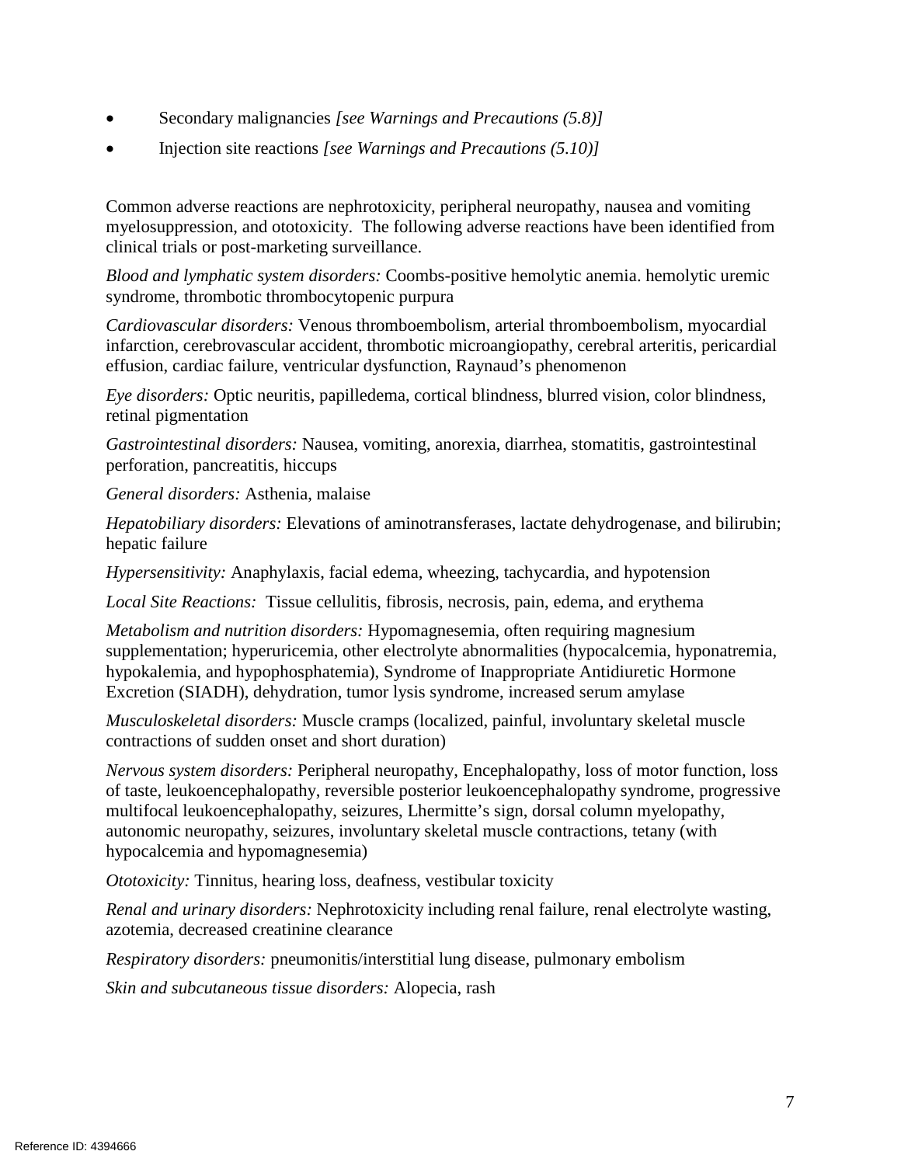- Secondary malignancies *[see Warnings and Precautions (5.8)]*
- Injection site reactions *[see Warnings and Precautions (5.10)]*

 myelosuppression, and ototoxicity. The following adverse reactions have been identified from Common adverse reactions are nephrotoxicity, peripheral neuropathy, nausea and vomiting clinical trials or post-marketing surveillance.

*Blood and lymphatic system disorders:* Coombs-positive hemolytic anemia. hemolytic uremic syndrome, thrombotic thrombocytopenic purpura

 effusion, cardiac failure, ventricular dysfunction, Raynaud's phenomenon *Cardiovascular disorders:* Venous thromboembolism, arterial thromboembolism, myocardial infarction, cerebrovascular accident, thrombotic microangiopathy, cerebral arteritis, pericardial

*Eye disorders:* Optic neuritis, papilledema, cortical blindness, blurred vision, color blindness, retinal pigmentation

 perforation, pancreatitis, hiccups *Gastrointestinal disorders:* Nausea, vomiting, anorexia, diarrhea, stomatitis, gastrointestinal

*General disorders:* Asthenia, malaise

*Hepatobiliary disorders:* Elevations of aminotransferases, lactate dehydrogenase, and bilirubin; hepatic failure

 *Hypersensitivity:* Anaphylaxis, facial edema, wheezing, tachycardia, and hypotension

Local Site Reactions: Tissue cellulitis, fibrosis, necrosis, pain, edema, and erythema

*Metabolism and nutrition disorders:* Hypomagnesemia, often requiring magnesium supplementation; hyperuricemia, other electrolyte abnormalities (hypocalcemia, hyponatremia, hypokalemia, and hypophosphatemia), Syndrome of Inappropriate Antidiuretic Hormone Excretion (SIADH), dehydration, tumor lysis syndrome, increased serum amylase

*Musculoskeletal disorders:* Muscle cramps (localized, painful, involuntary skeletal muscle contractions of sudden onset and short duration)

 autonomic neuropathy, seizures, involuntary skeletal muscle contractions, tetany (with *Nervous system disorders:* Peripheral neuropathy, Encephalopathy, loss of motor function, loss of taste, leukoencephalopathy, reversible posterior leukoencephalopathy syndrome, progressive multifocal leukoencephalopathy, seizures, Lhermitte's sign, dorsal column myelopathy, hypocalcemia and hypomagnesemia)

*Ototoxicity:* Tinnitus, hearing loss, deafness, vestibular toxicity

*Renal and urinary disorders:* Nephrotoxicity including renal failure, renal electrolyte wasting, azotemia, decreased creatinine clearance

*Respiratory disorders:* pneumonitis/interstitial lung disease, pulmonary embolism

*Skin and subcutaneous tissue disorders:* Alopecia, rash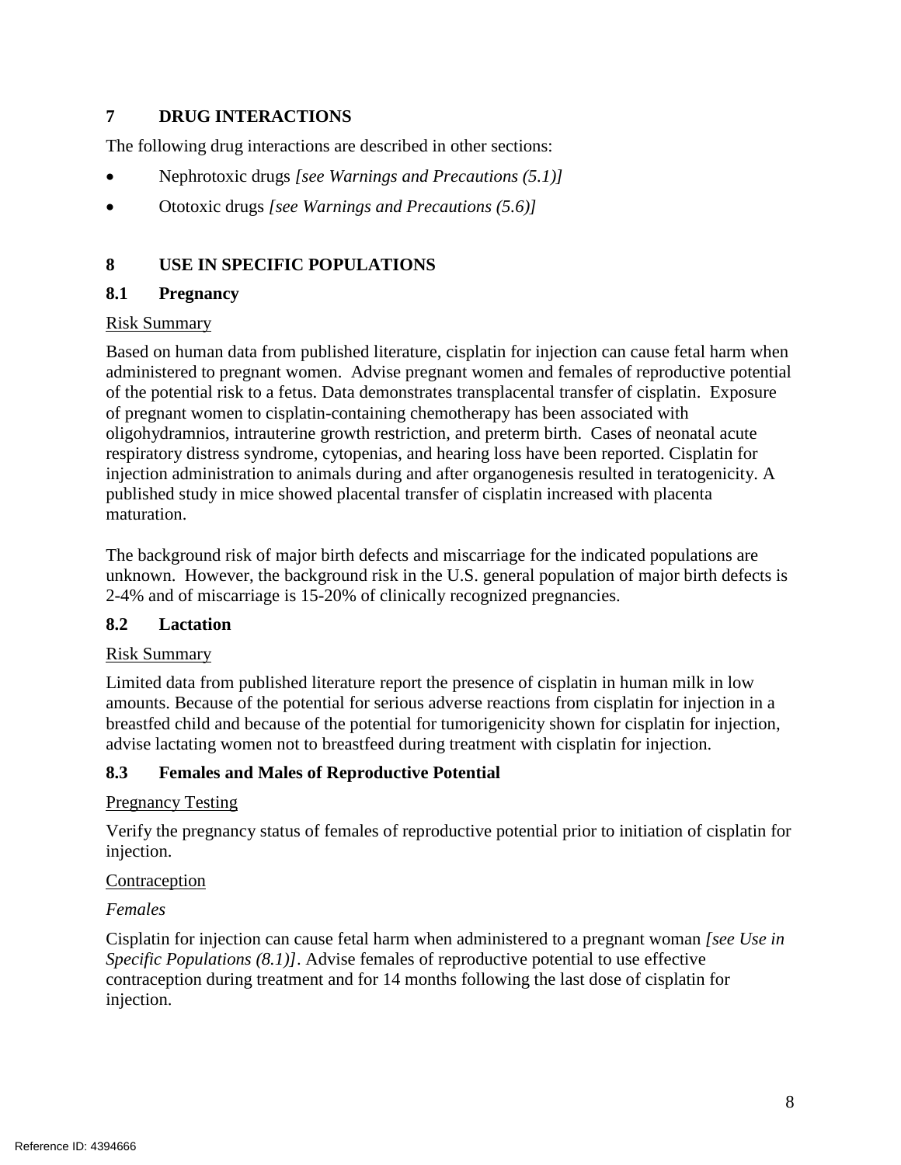#### **7 DRUG INTERACTIONS**

The following drug interactions are described in other sections:

- Nephrotoxic drugs *[see Warnings and Precautions (5.1)]*
- Ototoxic drugs *[see Warnings and Precautions (5.6)]*

## **8 USE IN SPECIFIC POPULATIONS**

## **8.1 Pregnancy**

#### Risk Summary

 Based on human data from published literature, cisplatin for injection can cause fetal harm when administered to pregnant women. Advise pregnant women and females of reproductive potential of the potential risk to a fetus. Data demonstrates transplacental transfer of cisplatin. Exposure of pregnant women to cisplatin-containing chemotherapy has been associated with oligohydramnios, intrauterine growth restriction, and preterm birth. Cases of neonatal acute respiratory distress syndrome, cytopenias, and hearing loss have been reported. Cisplatin for injection administration to animals during and after organogenesis resulted in teratogenicity. A published study in mice showed placental transfer of cisplatin increased with placenta maturation.

 unknown. However, the background risk in the U.S. general population of major birth defects is The background risk of major birth defects and miscarriage for the indicated populations are 2-4% and of miscarriage is 15-20% of clinically recognized pregnancies.

## **8.2 Lactation**

## Risk Summary

 Limited data from published literature report the presence of cisplatin in human milk in low amounts. Because of the potential for serious adverse reactions from cisplatin for injection in a advise lactating women not to breastfeed during treatment with cisplatin for injection. breastfed child and because of the potential for tumorigenicity shown for cisplatin for injection,

## **8.3 Females and Males of Reproductive Potential**

## Pregnancy Testing

Verify the pregnancy status of females of reproductive potential prior to initiation of cisplatin for injection.

#### **Contraception**

## *Females*

Cisplatin for injection can cause fetal harm when administered to a pregnant woman *[see Use in Specific Populations (8.1)]*. Advise females of reproductive potential to use effective contraception during treatment and for 14 months following the last dose of cisplatin for injection.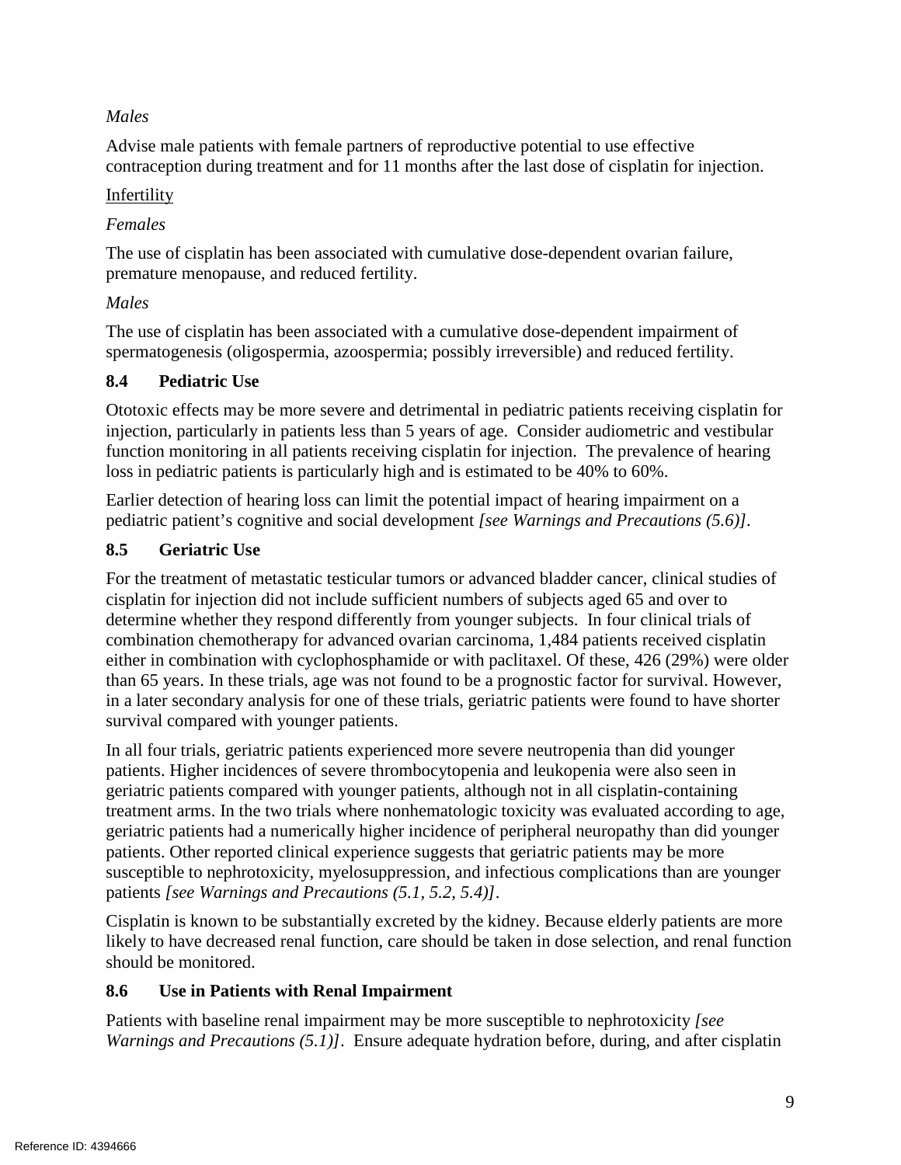## *Males*

 Advise male patients with female partners of reproductive potential to use effective contraception during treatment and for 11 months after the last dose of cisplatin for injection.

## Infertility

## *Females*

 premature menopause, and reduced fertility. The use of cisplatin has been associated with cumulative dose-dependent ovarian failure,

## *Males*

The use of cisplatin has been associated with a cumulative dose-dependent impairment of spermatogenesis (oligospermia, azoospermia; possibly irreversible) and reduced fertility.

## **8.4 Pediatric Use**

 injection, particularly in patients less than 5 years of age. Consider audiometric and vestibular Ototoxic effects may be more severe and detrimental in pediatric patients receiving cisplatin for function monitoring in all patients receiving cisplatin for injection. The prevalence of hearing loss in pediatric patients is particularly high and is estimated to be 40% to 60%.

 pediatric patient's cognitive and social development *[see Warnings and Precautions (5.6)].*  Earlier detection of hearing loss can limit the potential impact of hearing impairment on a

## **8.5 Geriatric Use**

 determine whether they respond differently from younger subjects. In four clinical trials of For the treatment of metastatic testicular tumors or advanced bladder cancer, clinical studies of cisplatin for injection did not include sufficient numbers of subjects aged 65 and over to combination chemotherapy for advanced ovarian carcinoma, 1,484 patients received cisplatin either in combination with cyclophosphamide or with paclitaxel. Of these, 426 (29%) were older than 65 years. In these trials, age was not found to be a prognostic factor for survival. However, in a later secondary analysis for one of these trials, geriatric patients were found to have shorter survival compared with younger patients.

 treatment arms. In the two trials where nonhematologic toxicity was evaluated according to age, susceptible to nephrotoxicity, myelosuppression, and infectious complications than are younger In all four trials, geriatric patients experienced more severe neutropenia than did younger patients. Higher incidences of severe thrombocytopenia and leukopenia were also seen in geriatric patients compared with younger patients, although not in all cisplatin-containing geriatric patients had a numerically higher incidence of peripheral neuropathy than did younger patients. Other reported clinical experience suggests that geriatric patients may be more patients *[see Warnings and Precautions (5.1, 5.2, 5.4)]*.

 Cisplatin is known to be substantially excreted by the kidney. Because elderly patients are more likely to have decreased renal function, care should be taken in dose selection, and renal function should be monitored.

# **8.6 Use in Patients with Renal Impairment**

Patients with baseline renal impairment may be more susceptible to nephrotoxicity *[see Warnings and Precautions (5.1)]*. Ensure adequate hydration before, during, and after cisplatin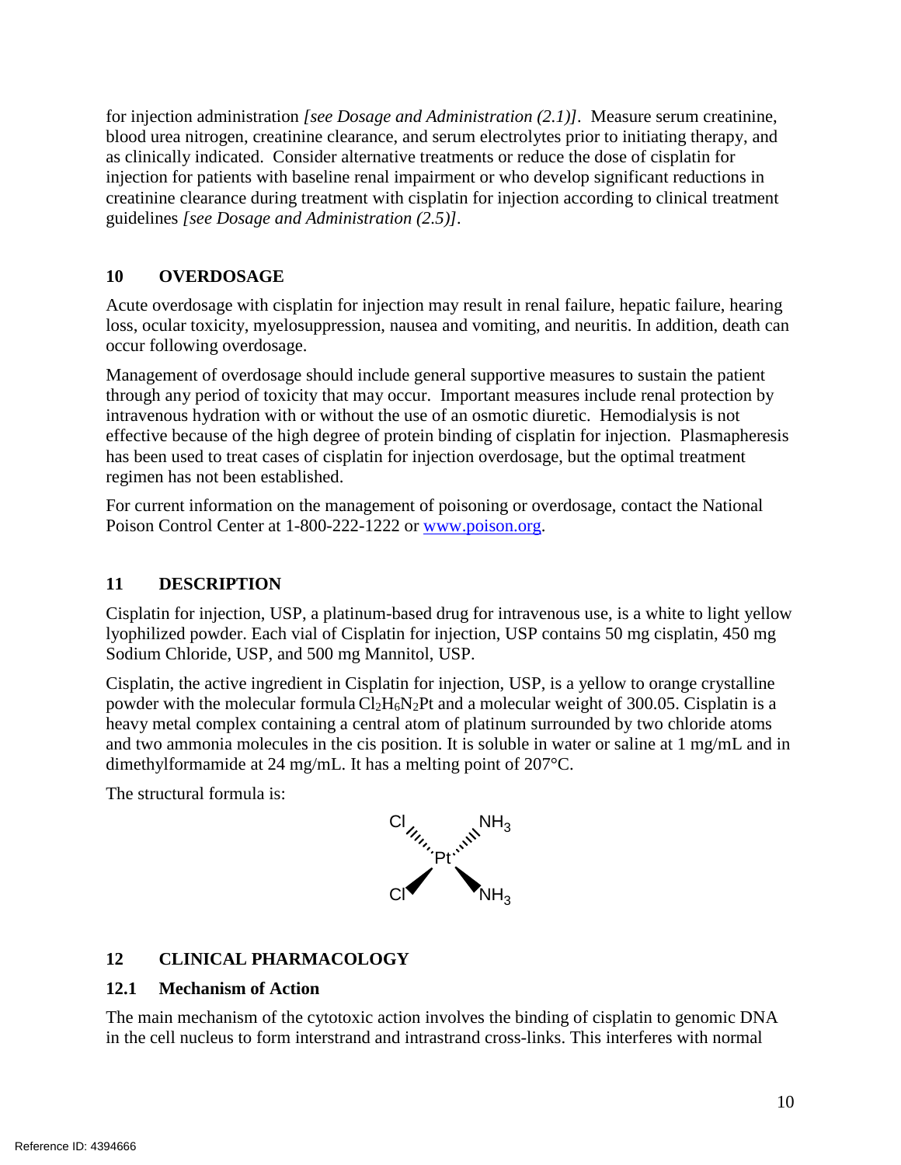blood urea nitrogen, creatinine clearance, and serum electrolytes prior to initiating therapy, and as clinically indicated. Consider alternative treatments or reduce the dose of cisplatin for  guidelines *[see Dosage and Administration (2.5)].* for injection administration *[see Dosage and Administration (2.1)].* Measure serum creatinine, injection for patients with baseline renal impairment or who develop significant reductions in creatinine clearance during treatment with cisplatin for injection according to clinical treatment

## **10 OVERDOSAGE**

 Acute overdosage with cisplatin for injection may result in renal failure, hepatic failure, hearing loss, ocular toxicity, myelosuppression, nausea and vomiting, and neuritis. In addition, death can occur following overdosage.

 through any period of toxicity that may occur. Important measures include renal protection by intravenous hydration with or without the use of an osmotic diuretic. Hemodialysis is not effective because of the high degree of protein binding of cisplatin for injection. Plasmapheresis Management of overdosage should include general supportive measures to sustain the patient has been used to treat cases of cisplatin for injection overdosage, but the optimal treatment regimen has not been established.

For current information on the management of poisoning or overdosage, contact the National Poison Control Center at 1-800-222-1222 or [www.poison.org.](http://www.poison.org/)

## **11 DESCRIPTION**

 lyophilized powder. Each vial of Cisplatin for injection, USP contains 50 mg cisplatin, 450 mg Cisplatin for injection, USP, a platinum-based drug for intravenous use, is a white to light yellow Sodium Chloride, USP, and 500 mg Mannitol, USP.

 heavy metal complex containing a central atom of platinum surrounded by two chloride atoms Cisplatin, the active ingredient in Cisplatin for injection, USP, is a yellow to orange crystalline powder with the molecular formula Cl<sub>2</sub>H<sub>6</sub>N<sub>2</sub>Pt and a molecular weight of 300.05. Cisplatin is a and two ammonia molecules in the cis position. It is soluble in water or saline at 1 mg/mL and in dimethylformamide at 24 mg/mL. It has a melting point of 207°C.

The structural formula is:



## **12 CLINICAL PHARMACOLOGY**

#### **12.1 Mechanism of Action**

The main mechanism of the cytotoxic action involves the binding of cisplatin to genomic DNA in the cell nucleus to form interstrand and intrastrand cross-links. This interferes with normal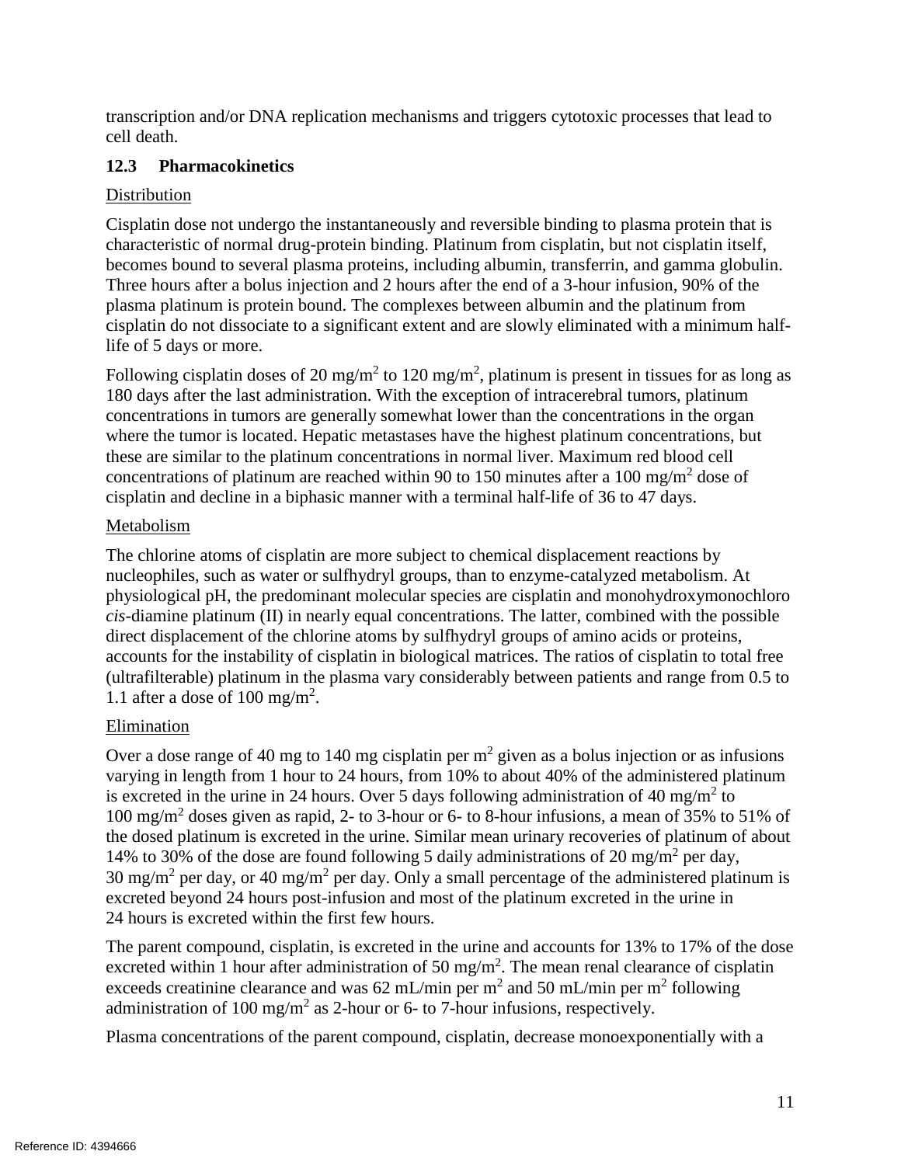transcription and/or DNA replication mechanisms and triggers cytotoxic processes that lead to cell death.

## **12.3 Pharmacokinetics**

## Distribution

Cisplatin dose not undergo the instantaneously and reversible binding to plasma protein that is characteristic of normal drug-protein binding. Platinum from cisplatin, but not cisplatin itself, becomes bound to several plasma proteins, including albumin, transferrin, and gamma globulin. Three hours after a bolus injection and 2 hours after the end of a 3-hour infusion, 90% of the plasma platinum is protein bound. The complexes between albumin and the platinum from cisplatin do not dissociate to a significant extent and are slowly eliminated with a minimum halflife of 5 days or more.

Following cisplatin doses of 20 mg/m<sup>2</sup> to 120 mg/m<sup>2</sup>, platinum is present in tissues for as long as concentrations of platinum are reached within 90 to 150 minutes after a 100 mg/m<sup>2</sup> dose of cisplatin and decline in a biphasic manner with a terminal half-life of 36 to 47 days. 180 days after the last administration. With the exception of intracerebral tumors, platinum concentrations in tumors are generally somewhat lower than the concentrations in the organ where the tumor is located. Hepatic metastases have the highest platinum concentrations, but these are similar to the platinum concentrations in normal liver. Maximum red blood cell

## Metabolism

 accounts for the instability of cisplatin in biological matrices. The ratios of cisplatin to total free 1.1 after a dose of 100 mg/m<sup>2</sup>. The chlorine atoms of cisplatin are more subject to chemical displacement reactions by nucleophiles, such as water or sulfhydryl groups, than to enzyme-catalyzed metabolism. At physiological pH, the predominant molecular species are cisplatin and monohydroxymonochloro *cis*-diamine platinum (II) in nearly equal concentrations. The latter, combined with the possible direct displacement of the chlorine atoms by sulfhydryl groups of amino acids or proteins, (ultrafilterable) platinum in the plasma vary considerably between patients and range from 0.5 to

## Elimination

Over a dose range of 40 mg to 140 mg cisplatin per  $m<sup>2</sup>$  given as a bolus injection or as infusions varying in length from 1 hour to 24 hours, from 10% to about 40% of the administered platinum is excreted in the urine in 24 hours. Over 5 days following administration of 40 mg/m<sup>2</sup> to 100 mg/m2 doses given as rapid, 2- to 3-hour or 6- to 8-hour infusions, a mean of 35% to 51% of 14% to 30% of the dose are found following 5 daily administrations of 20 mg/m<sup>2</sup> per day, 30 mg/m<sup>2</sup> per day, or 40 mg/m<sup>2</sup> per day. Only a small percentage of the administered platinum is the dosed platinum is excreted in the urine. Similar mean urinary recoveries of platinum of about excreted beyond 24 hours post-infusion and most of the platinum excreted in the urine in 24 hours is excreted within the first few hours.

excreted within 1 hour after administration of 50 mg/m<sup>2</sup>. The mean renal clearance of cisplatin exceeds creatinine clearance and was 62 mL/min per m<sup>2</sup> and 50 mL/min per m<sup>2</sup> following administration of 100 mg/m<sup>2</sup> as 2-hour or 6- to 7-hour infusions, respectively. The parent compound, cisplatin, is excreted in the urine and accounts for 13% to 17% of the dose

Plasma concentrations of the parent compound, cisplatin, decrease monoexponentially with a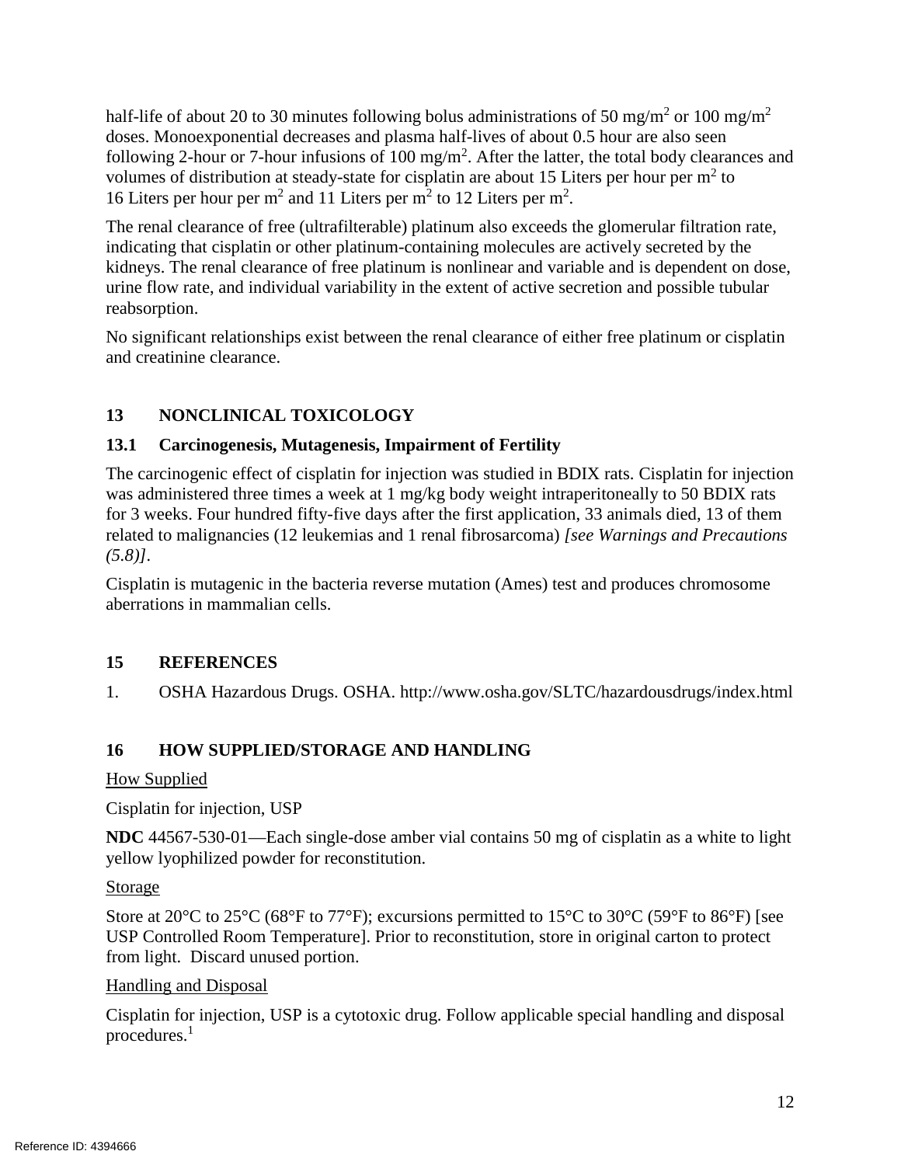half-life of about 20 to 30 minutes following bolus administrations of 50 mg/m<sup>2</sup> or 100 mg/m<sup>2</sup> doses. Monoexponential decreases and plasma half-lives of about 0.5 hour are also seen following 2-hour or 7-hour infusions of 100 mg/m<sup>2</sup>. After the latter, the total body clearances and volumes of distribution at steady-state for cisplatin are about 15 Liters per hour per  $m^2$  to 16 Liters per hour per  $m^2$  and 11 Liters per  $m^2$  to 12 Liters per  $m^2$ .

The renal clearance of free (ultrafilterable) platinum also exceeds the glomerular filtration rate, indicating that cisplatin or other platinum-containing molecules are actively secreted by the kidneys. The renal clearance of free platinum is nonlinear and variable and is dependent on dose, urine flow rate, and individual variability in the extent of active secretion and possible tubular reabsorption.

No significant relationships exist between the renal clearance of either free platinum or cisplatin and creatinine clearance.

# **13 NONCLINICAL TOXICOLOGY**

## **13.1 Carcinogenesis, Mutagenesis, Impairment of Fertility**

 related to malignancies (12 leukemias and 1 renal fibrosarcoma) *[see Warnings and Precautions*  The carcinogenic effect of cisplatin for injection was studied in BDIX rats. Cisplatin for injection was administered three times a week at 1 mg/kg body weight intraperitoneally to 50 BDIX rats for 3 weeks. Four hundred fifty-five days after the first application, 33 animals died, 13 of them *(5.8)].* 

Cisplatin is mutagenic in the bacteria reverse mutation (Ames) test and produces chromosome aberrations in mammalian cells.

## **15 REFERENCES**

1. OSHA Hazardous Drugs. OSHA. http://www.osha.gov/SLTC/hazardousdrugs/index.html

# **16 HOW SUPPLIED/STORAGE AND HANDLING**

## How Supplied

 Cisplatin for injection, USP

**NDC** 44567-530-01—Each single-dose amber vial contains 50 mg of cisplatin as a white to light yellow lyophilized powder for reconstitution.

## Storage

Store at 20 $^{\circ}$ C to 25 $^{\circ}$ C (68 $^{\circ}$ F to 77 $^{\circ}$ F); excursions permitted to 15 $^{\circ}$ C to 30 $^{\circ}$ C (59 $^{\circ}$ F to 86 $^{\circ}$ F) [see USP Controlled Room Temperature]. Prior to reconstitution, store in original carton to protect from light. Discard unused portion.

## Handling and Disposal

Cisplatin for injection, USP is a cytotoxic drug. Follow applicable special handling and disposal procedures.<sup>1</sup>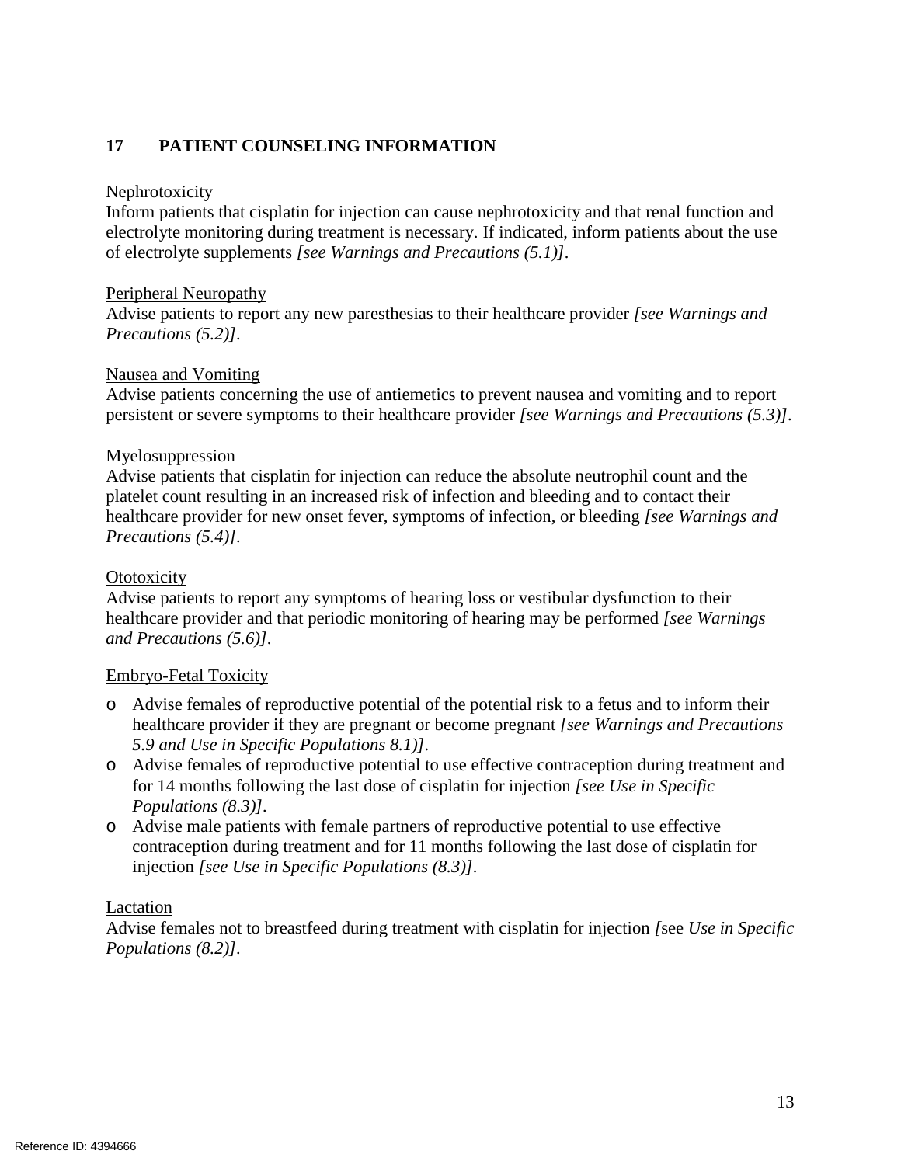## **17 PATIENT COUNSELING INFORMATION**

#### Nephrotoxicity

 of electrolyte supplements *[see Warnings and Precautions (5.1)].*  Inform patients that cisplatin for injection can cause nephrotoxicity and that renal function and electrolyte monitoring during treatment is necessary. If indicated, inform patients about the use

#### Peripheral Neuropathy

Advise patients to report any new paresthesias to their healthcare provider *[see Warnings and Precautions (5.2)].* 

#### Nausea and Vomiting

 persistent or severe symptoms to their healthcare provider *[see Warnings and Precautions (5.3)].*  Advise patients concerning the use of antiemetics to prevent nausea and vomiting and to report

#### Myelosuppression

 Advise patients that cisplatin for injection can reduce the absolute neutrophil count and the platelet count resulting in an increased risk of infection and bleeding and to contact their healthcare provider for new onset fever, symptoms of infection, or bleeding *[see Warnings and Precautions (5.4)].* 

#### **Ototoxicity**

Advise patients to report any symptoms of hearing loss or vestibular dysfunction to their healthcare provider and that periodic monitoring of hearing may be performed *[see Warnings and Precautions (5.6)].* 

#### Embryo-Fetal Toxicity

- o Advise females of reproductive potential of the potential risk to a fetus and to inform their healthcare provider if they are pregnant or become pregnant *[see Warnings and Precautions 5.9 and Use in Specific Populations 8.1)].*
- o Advise females of reproductive potential to use effective contraception during treatment and for 14 months following the last dose of cisplatin for injection *[see Use in Specific Populations (8.3)].*
- injection *[see Use in Specific Populations (8.3)].* o Advise male patients with female partners of reproductive potential to use effective contraception during treatment and for 11 months following the last dose of cisplatin for

#### Lactation

 Advise females not to breastfeed during treatment with cisplatin for injection *[*see *Use in Specific Populations (8.2)].*